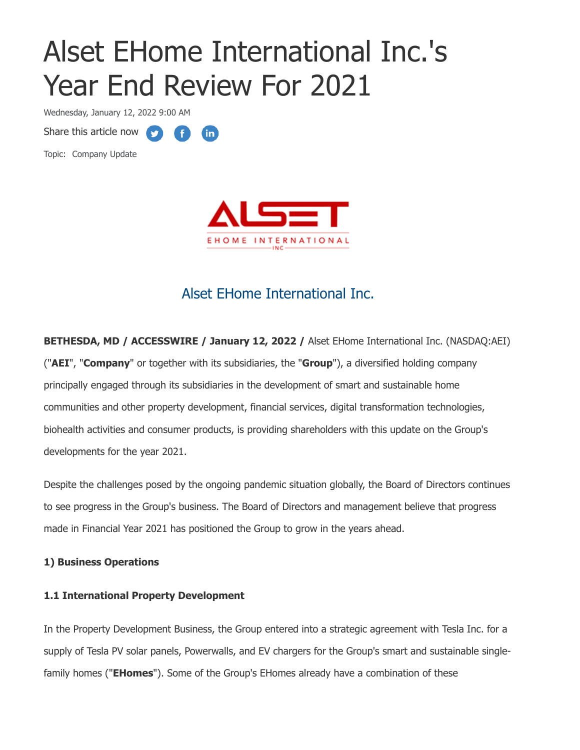# Alset EHome International Inc.'s Year End Review For 2021

(in)

**CED** 

Wednesday, January 12, 2022 9:00 AM

Share this article now **the state** 

Topic: Company Update



# Alset EHome International Inc.

**BETHESDA, MD / ACCESSWIRE / January 12, 2022 /** Alset EHome International Inc. (NASDAQ:AEI) ("**AEI**", "**Company**" or together with its subsidiaries, the "**Group**"), a diversified holding company principally engaged through its subsidiaries in the development of smart and sustainable home communities and other property development, financial services, digital transformation technologies, biohealth activities and consumer products, is providing shareholders with this update on the Group's developments for the year 2021.

Despite the challenges posed by the ongoing pandemic situation globally, the Board of Directors continues to see progress in the Group's business. The Board of Directors and management believe that progress made in Financial Year 2021 has positioned the Group to grow in the years ahead.

# **1) Business Operations**

# **1.1 International Property Development**

In the Property Development Business, the Group entered into a strategic agreement with Tesla Inc. for a supply of Tesla PV solar panels, Powerwalls, and EV chargers for the Group's smart and sustainable singlefamily homes ("**EHomes**"). Some of the Group's EHomes already have a combination of these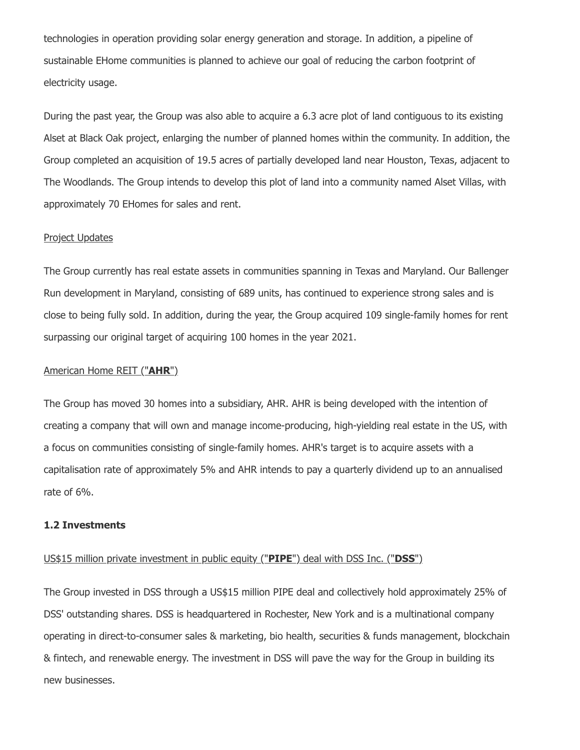technologies in operation providing solar energy generation and storage. In addition, a pipeline of sustainable EHome communities is planned to achieve our goal of reducing the carbon footprint of electricity usage.

During the past year, the Group was also able to acquire a 6.3 acre plot of land contiguous to its existing Alset at Black Oak project, enlarging the number of planned homes within the community. In addition, the Group completed an acquisition of 19.5 acres of partially developed land near Houston, Texas, adjacent to The Woodlands. The Group intends to develop this plot of land into a community named Alset Villas, with approximately 70 EHomes for sales and rent.

#### Project Updates

The Group currently has real estate assets in communities spanning in Texas and Maryland. Our Ballenger Run development in Maryland, consisting of 689 units, has continued to experience strong sales and is close to being fully sold. In addition, during the year, the Group acquired 109 single-family homes for rent surpassing our original target of acquiring 100 homes in the year 2021.

#### American Home REIT ("**AHR**")

The Group has moved 30 homes into a subsidiary, AHR. AHR is being developed with the intention of creating a company that will own and manage income-producing, high-yielding real estate in the US, with a focus on communities consisting of single-family homes. AHR's target is to acquire assets with a capitalisation rate of approximately 5% and AHR intends to pay a quarterly dividend up to an annualised rate of 6%.

#### **1.2 Investments**

#### US\$15 million private investment in public equity ("**PIPE**") deal with DSS Inc. ("**DSS**")

The Group invested in DSS through a US\$15 million PIPE deal and collectively hold approximately 25% of DSS' outstanding shares. DSS is headquartered in Rochester, New York and is a multinational company operating in direct-to-consumer sales & marketing, bio health, securities & funds management, blockchain & fintech, and renewable energy. The investment in DSS will pave the way for the Group in building its new businesses.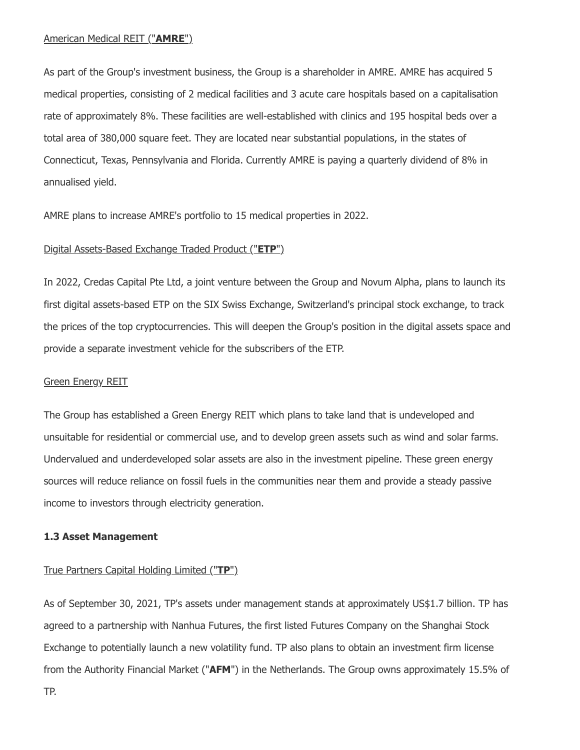As part of the Group's investment business, the Group is a shareholder in AMRE. AMRE has acquired 5 medical properties, consisting of 2 medical facilities and 3 acute care hospitals based on a capitalisation rate of approximately 8%. These facilities are well-established with clinics and 195 hospital beds over a total area of 380,000 square feet. They are located near substantial populations, in the states of Connecticut, Texas, Pennsylvania and Florida. Currently AMRE is paying a quarterly dividend of 8% in annualised yield.

AMRE plans to increase AMRE's portfolio to 15 medical properties in 2022.

## Digital Assets-Based Exchange Traded Product ("**ETP**")

In 2022, Credas Capital Pte Ltd, a joint venture between the Group and Novum Alpha, plans to launch its first digital assets-based ETP on the SIX Swiss Exchange, Switzerland's principal stock exchange, to track the prices of the top cryptocurrencies. This will deepen the Group's position in the digital assets space and provide a separate investment vehicle for the subscribers of the ETP.

#### Green Energy REIT

The Group has established a Green Energy REIT which plans to take land that is undeveloped and unsuitable for residential or commercial use, and to develop green assets such as wind and solar farms. Undervalued and underdeveloped solar assets are also in the investment pipeline. These green energy sources will reduce reliance on fossil fuels in the communities near them and provide a steady passive income to investors through electricity generation.

#### **1.3 Asset Management**

# True Partners Capital Holding Limited ("**TP**")

As of September 30, 2021, TP's assets under management stands at approximately US\$1.7 billion. TP has agreed to a partnership with Nanhua Futures, the first listed Futures Company on the Shanghai Stock Exchange to potentially launch a new volatility fund. TP also plans to obtain an investment firm license from the Authority Financial Market ("**AFM**") in the Netherlands. The Group owns approximately 15.5% of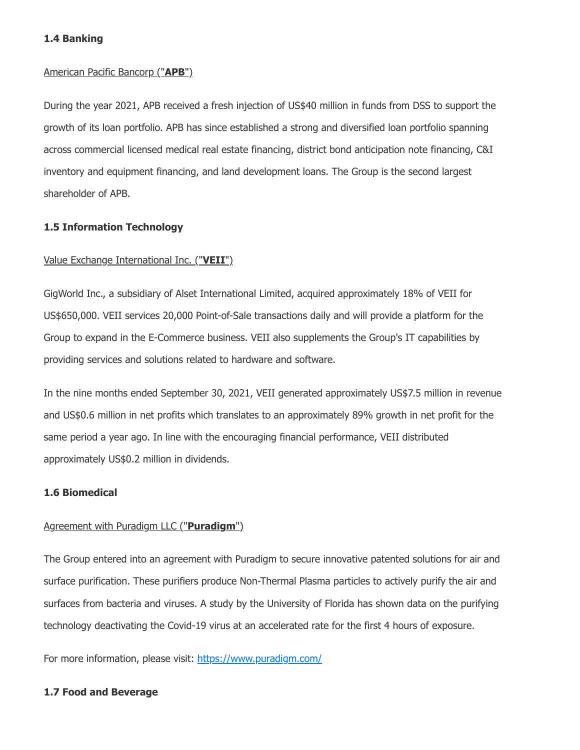## **1.4 Banking**

#### American Pacific Bancorp ("**APB**")

During the year 2021, APB received a fresh injection of US\$40 million in funds from DSS to support the growth of its loan portfolio. APB has since established a strong and diversified loan portfolio spanning across commercial licensed medical real estate financing, district bond anticipation note financing, C&I inventory and equipment financing, and land development loans. The Group is the second largest shareholder of APB.

#### **1.5 Information Technology**

#### Value Exchange International Inc. ("**VEII**")

GigWorld Inc., a subsidiary of Alset International Limited, acquired approximately 18% of VEII for US\$650,000. VEII services 20,000 Point-of-Sale transactions daily and will provide a platform for the Group to expand in the E-Commerce business. VEII also supplements the Group's IT capabilities by providing services and solutions related to hardware and software.

In the nine months ended September 30, 2021, VEII generated approximately US\$7.5 million in revenue and US\$0.6 million in net profits which translates to an approximately 89% growth in net profit for the same period a year ago. In line with the encouraging financial performance, VEII distributed approximately US\$0.2 million in dividends.

#### **1.6 Biomedical**

#### Agreement with Puradigm LLC ("**Puradigm**")

The Group entered into an agreement with Puradigm to secure innovative patented solutions for air and surface purification. These purifiers produce Non-Thermal Plasma particles to actively purify the air and surfaces from bacteria and viruses. A study by the University of Florida has shown data on the purifying technology deactivating the Covid-19 virus at an accelerated rate for the first 4 hours of exposure.

For more information, please visit: [https://www.puradigm.com/](https://pr.report/tGvyKqmD)

#### **1.7 Food and Beverage**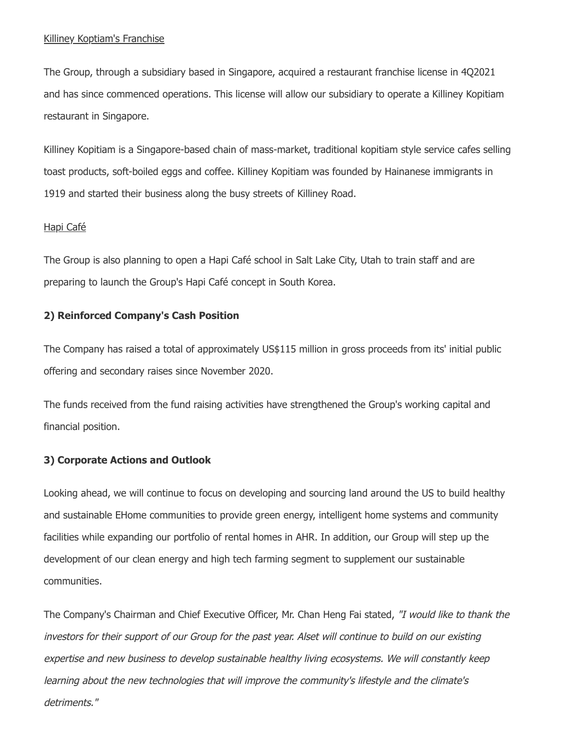#### Killiney Koptiam's Franchise

The Group, through a subsidiary based in Singapore, acquired a restaurant franchise license in 4Q2021 and has since commenced operations. This license will allow our subsidiary to operate a Killiney Kopitiam restaurant in Singapore.

Killiney Kopitiam is a Singapore-based chain of mass-market, traditional kopitiam style service cafes selling toast products, soft-boiled eggs and coffee. Killiney Kopitiam was founded by Hainanese immigrants in 1919 and started their business along the busy streets of Killiney Road.

#### Hapi Café

The Group is also planning to open a Hapi Café school in Salt Lake City, Utah to train staff and are preparing to launch the Group's Hapi Café concept in South Korea.

#### **2) Reinforced Company's Cash Position**

The Company has raised a total of approximately US\$115 million in gross proceeds from its' initial public offering and secondary raises since November 2020.

The funds received from the fund raising activities have strengthened the Group's working capital and financial position.

#### **3) Corporate Actions and Outlook**

Looking ahead, we will continue to focus on developing and sourcing land around the US to build healthy and sustainable EHome communities to provide green energy, intelligent home systems and community facilities while expanding our portfolio of rental homes in AHR. In addition, our Group will step up the development of our clean energy and high tech farming segment to supplement our sustainable communities.

The Company's Chairman and Chief Executive Officer, Mr. Chan Heng Fai stated, "I would like to thank the investors for their support of our Group for the past year. Alset will continue to build on our existing expertise and new business to develop sustainable healthy living ecosystems. We will constantly keep learning about the new technologies that will improve the community's lifestyle and the climate's detriments."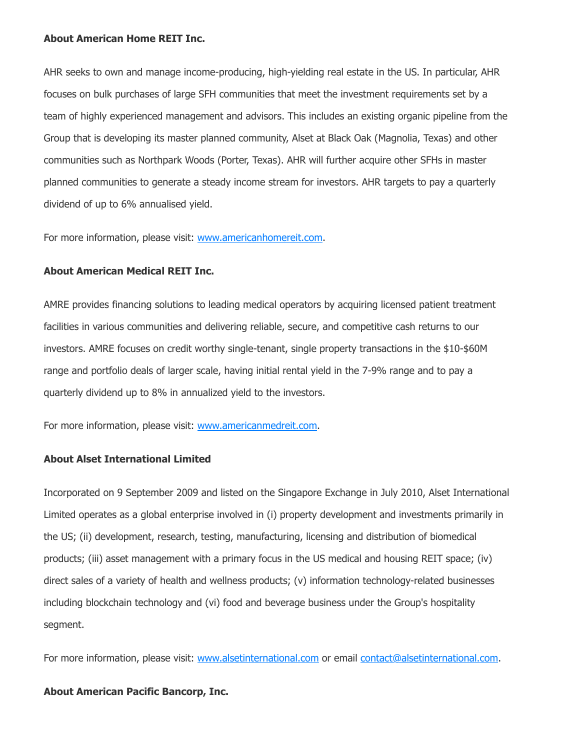#### **About American Home REIT Inc.**

AHR seeks to own and manage income-producing, high-yielding real estate in the US. In particular, AHR focuses on bulk purchases of large SFH communities that meet the investment requirements set by a team of highly experienced management and advisors. This includes an existing organic pipeline from the Group that is developing its master planned community, Alset at Black Oak (Magnolia, Texas) and other communities such as Northpark Woods (Porter, Texas). AHR will further acquire other SFHs in master planned communities to generate a steady income stream for investors. AHR targets to pay a quarterly dividend of up to 6% annualised yield.

For more information, please visit: [www.americanhomereit.com](https://pr.report/AHG0LyMv).

# **About American Medical REIT Inc.**

AMRE provides financing solutions to leading medical operators by acquiring licensed patient treatment facilities in various communities and delivering reliable, secure, and competitive cash returns to our investors. AMRE focuses on credit worthy single-tenant, single property transactions in the \$10-\$60M range and portfolio deals of larger scale, having initial rental yield in the 7-9% range and to pay a quarterly dividend up to 8% in annualized yield to the investors.

For more information, please visit: [www.americanmedreit.com.](https://pr.report/A76OiI3M)

#### **About Alset International Limited**

Incorporated on 9 September 2009 and listed on the Singapore Exchange in July 2010, Alset International Limited operates as a global enterprise involved in (i) property development and investments primarily in the US; (ii) development, research, testing, manufacturing, licensing and distribution of biomedical products; (iii) asset management with a primary focus in the US medical and housing REIT space; (iv) direct sales of a variety of health and wellness products; (v) information technology-related businesses including blockchain technology and (vi) food and beverage business under the Group's hospitality segment.

For more information, please visit: [www.alsetinternational.com](https://pr.report/1Lgq74yI) or email [contact@alsetinternational.com](mailto:contact@alsetinternational.com).

#### **About American Pacific Bancorp, Inc.**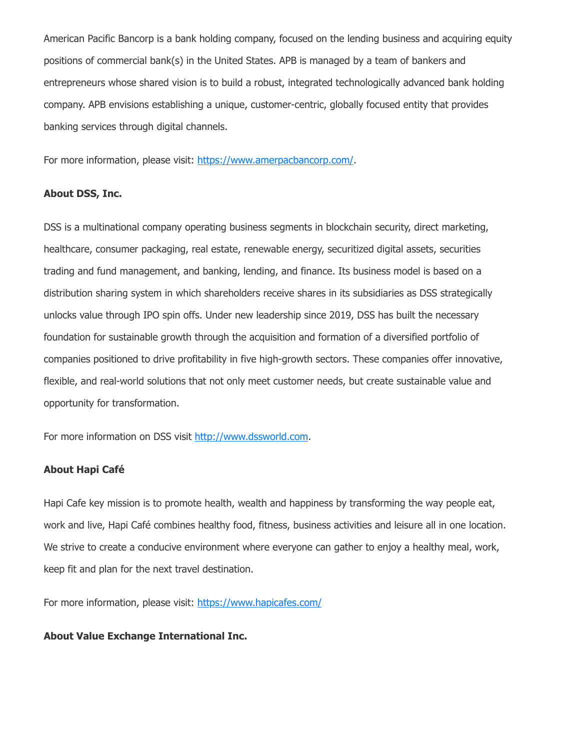American Pacific Bancorp is a bank holding company, focused on the lending business and acquiring equity positions of commercial bank(s) in the United States. APB is managed by a team of bankers and entrepreneurs whose shared vision is to build a robust, integrated technologically advanced bank holding company. APB envisions establishing a unique, customer-centric, globally focused entity that provides banking services through digital channels.

For more information, please visit: [https://www.amerpacbancorp.com/](https://pr.report/PWIDcziq).

#### **About DSS, Inc.**

DSS is a multinational company operating business segments in blockchain security, direct marketing, healthcare, consumer packaging, real estate, renewable energy, securitized digital assets, securities trading and fund management, and banking, lending, and finance. Its business model is based on a distribution sharing system in which shareholders receive shares in its subsidiaries as DSS strategically unlocks value through IPO spin offs. Under new leadership since 2019, DSS has built the necessary foundation for sustainable growth through the acquisition and formation of a diversified portfolio of companies positioned to drive profitability in five high-growth sectors. These companies offer innovative, flexible, and real-world solutions that not only meet customer needs, but create sustainable value and opportunity for transformation.

For more information on DSS visit [http://www.dssworld.com](https://pr.report/zB1YsXFZ).

#### **About Hapi Café**

Hapi Cafe key mission is to promote health, wealth and happiness by transforming the way people eat, work and live, Hapi Café combines healthy food, fitness, business activities and leisure all in one location. We strive to create a conducive environment where everyone can gather to enjoy a healthy meal, work, keep fit and plan for the next travel destination.

For more information, please visit: [https://www.hapicafes.com/](https://pr.report/tjafCNYA)

#### **About Value Exchange International Inc.**